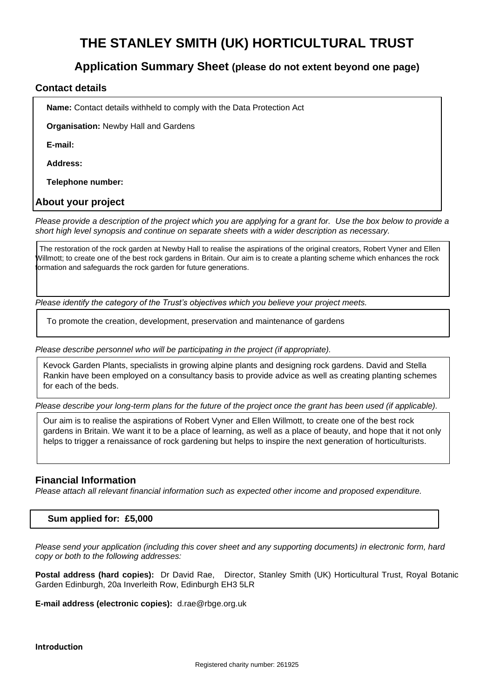# **THE STANLEY SMITH (UK) HORTICULTURAL TRUST**

# **Application Summary Sheet (please do not extent beyond one page)**

#### **Contact details**

**Name:** Contact details withheld to comply with the Data Protection Act

**Organisation:** Newby Hall and Gardens

**E-mail:**

**Address:**

**Telephone number:**

#### **About your project**

*Please provide a description of the project which you are applying for a grant for. Use the box below to provide a short high level synopsis and continue on separate sheets with a wider description as necessary.* 

 The restoration of the rock garden at Newby Hall to realise the aspirations of the original creators, Robert Vyner and Ellen Willmott; to create one of the best rock gardens in Britain. Our aim is to create a planting scheme which enhances the rock formation and safeguards the rock garden for future generations.

*Please identify the category of the Trust's objectives which you believe your project meets.*

To promote the creation, development, preservation and maintenance of gardens

*Please describe personnel who will be participating in the project (if appropriate).*

Kevock Garden Plants, specialists in growing alpine plants and designing rock gardens. David and Stella Rankin have been employed on a consultancy basis to provide advice as well as creating planting schemes for each of the beds.

*Please describe your long-term plans for the future of the project once the grant has been used (if applicable).*

Our aim is to realise the aspirations of Robert Vyner and Ellen Willmott, to create one of the best rock gardens in Britain. We want it to be a place of learning, as well as a place of beauty, and hope that it not only helps to trigger a renaissance of rock gardening but helps to inspire the next generation of horticulturists.

#### **Financial Information**

*Please attach all relevant financial information such as expected other income and proposed expenditure.*

#### **Sum applied for: £5,000**

*Please send your application (including this cover sheet and any supporting documents) in electronic form, hard copy or both to the following addresses:*

**Postal address (hard copies):** Dr David Rae, Director, Stanley Smith (UK) Horticultural Trust, Royal Botanic Garden Edinburgh, 20a Inverleith Row, Edinburgh EH3 5LR

**E-mail address (electronic copies):** d.rae@rbge.org.uk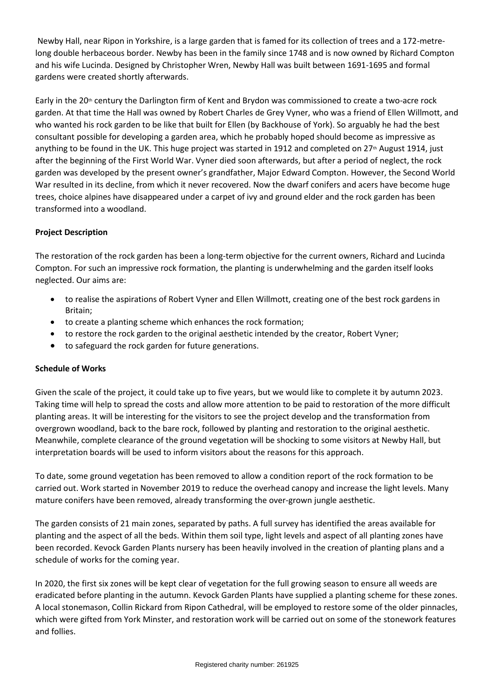Newby Hall, near Ripon in Yorkshire, is a large garden that is famed for its collection of trees and a 172-metrelong double herbaceous border. Newby has been in the family since 1748 and is now owned by Richard Compton and his wife Lucinda. Designed by Christopher Wren, Newby Hall was built between 1691-1695 and formal gardens were created shortly afterwards.

Early in the 20<sup>th</sup> century the Darlington firm of Kent and Brydon was commissioned to create a two-acre rock garden. At that time the Hall was owned by Robert Charles de Grey Vyner, who was a friend of Ellen Willmott, and who wanted his rock garden to be like that built for Ellen (by Backhouse of York). So arguably he had the best consultant possible for developing a garden area, which he probably hoped should become as impressive as anything to be found in the UK. This huge project was started in 1912 and completed on 27<sup>th</sup> August 1914, just after the beginning of the First World War. Vyner died soon afterwards, but after a period of neglect, the rock garden was developed by the present owner's grandfather, Major Edward Compton. However, the Second World War resulted in its decline, from which it never recovered. Now the dwarf conifers and acers have become huge trees, choice alpines have disappeared under a carpet of ivy and ground elder and the rock garden has been transformed into a woodland.

# **Project Description**

The restoration of the rock garden has been a long-term objective for the current owners, Richard and Lucinda Compton. For such an impressive rock formation, the planting is underwhelming and the garden itself looks neglected. Our aims are:

- to realise the aspirations of Robert Vyner and Ellen Willmott, creating one of the best rock gardens in Britain;
- to create a planting scheme which enhances the rock formation;
- to restore the rock garden to the original aesthetic intended by the creator, Robert Vyner;
- to safeguard the rock garden for future generations.

#### **Schedule of Works**

Given the scale of the project, it could take up to five years, but we would like to complete it by autumn 2023. Taking time will help to spread the costs and allow more attention to be paid to restoration of the more difficult planting areas. It will be interesting for the visitors to see the project develop and the transformation from overgrown woodland, back to the bare rock, followed by planting and restoration to the original aesthetic. Meanwhile, complete clearance of the ground vegetation will be shocking to some visitors at Newby Hall, but interpretation boards will be used to inform visitors about the reasons for this approach.

To date, some ground vegetation has been removed to allow a condition report of the rock formation to be carried out. Work started in November 2019 to reduce the overhead canopy and increase the light levels. Many mature conifers have been removed, already transforming the over-grown jungle aesthetic.

The garden consists of 21 main zones, separated by paths. A full survey has identified the areas available for planting and the aspect of all the beds. Within them soil type, light levels and aspect of all planting zones have been recorded. Kevock Garden Plants nursery has been heavily involved in the creation of planting plans and a schedule of works for the coming year.

In 2020, the first six zones will be kept clear of vegetation for the full growing season to ensure all weeds are eradicated before planting in the autumn. Kevock Garden Plants have supplied a planting scheme for these zones. A local stonemason, Collin Rickard from Ripon Cathedral, will be employed to restore some of the older pinnacles, which were gifted from York Minster, and restoration work will be carried out on some of the stonework features and follies.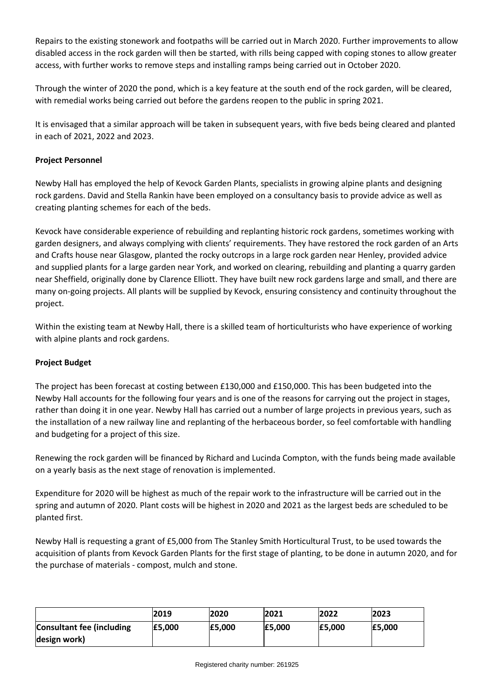Repairs to the existing stonework and footpaths will be carried out in March 2020. Further improvements to allow disabled access in the rock garden will then be started, with rills being capped with coping stones to allow greater access, with further works to remove steps and installing ramps being carried out in October 2020.

Through the winter of 2020 the pond, which is a key feature at the south end of the rock garden, will be cleared, with remedial works being carried out before the gardens reopen to the public in spring 2021.

It is envisaged that a similar approach will be taken in subsequent years, with five beds being cleared and planted in each of 2021, 2022 and 2023.

# **Project Personnel**

Newby Hall has employed the help of Kevock Garden Plants, specialists in growing alpine plants and designing rock gardens. David and Stella Rankin have been employed on a consultancy basis to provide advice as well as creating planting schemes for each of the beds.

Kevock have considerable experience of rebuilding and replanting historic rock gardens, sometimes working with garden designers, and always complying with clients' requirements. They have restored the rock garden of an Arts and Crafts house near Glasgow, planted the rocky outcrops in a large rock garden near Henley, provided advice and supplied plants for a large garden near York, and worked on clearing, rebuilding and planting a quarry garden near Sheffield, originally done by Clarence Elliott. They have built new rock gardens large and small, and there are many on-going projects. All plants will be supplied by Kevock, ensuring consistency and continuity throughout the project.

Within the existing team at Newby Hall, there is a skilled team of horticulturists who have experience of working with alpine plants and rock gardens.

# **Project Budget**

The project has been forecast at costing between £130,000 and £150,000. This has been budgeted into the Newby Hall accounts for the following four years and is one of the reasons for carrying out the project in stages, rather than doing it in one year. Newby Hall has carried out a number of large projects in previous years, such as the installation of a new railway line and replanting of the herbaceous border, so feel comfortable with handling and budgeting for a project of this size.

Renewing the rock garden will be financed by Richard and Lucinda Compton, with the funds being made available on a yearly basis as the next stage of renovation is implemented.

Expenditure for 2020 will be highest as much of the repair work to the infrastructure will be carried out in the spring and autumn of 2020. Plant costs will be highest in 2020 and 2021 as the largest beds are scheduled to be planted first.

Newby Hall is requesting a grant of £5,000 from The Stanley Smith Horticultural Trust, to be used towards the acquisition of plants from Kevock Garden Plants for the first stage of planting, to be done in autumn 2020, and for the purchase of materials - compost, mulch and stone.

|                                  | 2019   | 2020   | 2021   | 2022   | 2023   |
|----------------------------------|--------|--------|--------|--------|--------|
| <b>Consultant fee (including</b> | E5.000 | E5.000 | E5.000 | E5.000 | E5.000 |
| design work)                     |        |        |        |        |        |